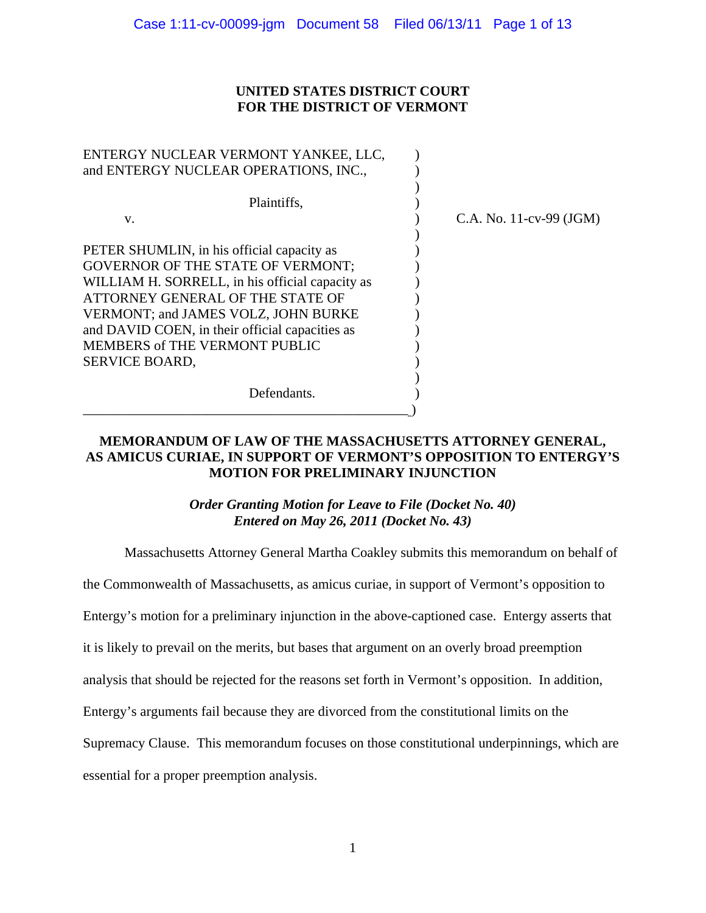## **UNITED STATES DISTRICT COURT FOR THE DISTRICT OF VERMONT**

| ENTERGY NUCLEAR VERMONT YANKEE, LLC,            |                            |
|-------------------------------------------------|----------------------------|
| and ENTERGY NUCLEAR OPERATIONS, INC.,           |                            |
|                                                 |                            |
| Plaintiffs,                                     |                            |
| V.                                              | C.A. No. $11$ -cv-99 (JGM) |
|                                                 |                            |
| PETER SHUMLIN, in his official capacity as      |                            |
| <b>GOVERNOR OF THE STATE OF VERMONT;</b>        |                            |
| WILLIAM H. SORRELL, in his official capacity as |                            |
| ATTORNEY GENERAL OF THE STATE OF                |                            |
| VERMONT; and JAMES VOLZ, JOHN BURKE             |                            |
| and DAVID COEN, in their official capacities as |                            |
| MEMBERS of THE VERMONT PUBLIC                   |                            |
| <b>SERVICE BOARD,</b>                           |                            |
|                                                 |                            |
| Defendants.                                     |                            |
|                                                 |                            |

### **MEMORANDUM OF LAW OF THE MASSACHUSETTS ATTORNEY GENERAL, AS AMICUS CURIAE, IN SUPPORT OF VERMONT'S OPPOSITION TO ENTERGY'S MOTION FOR PRELIMINARY INJUNCTION**

# *Order Granting Motion for Leave to File (Docket No. 40) Entered on May 26, 2011 (Docket No. 43)*

Massachusetts Attorney General Martha Coakley submits this memorandum on behalf of

the Commonwealth of Massachusetts, as amicus curiae, in support of Vermont's opposition to

Entergy's motion for a preliminary injunction in the above-captioned case. Entergy asserts that

it is likely to prevail on the merits, but bases that argument on an overly broad preemption

analysis that should be rejected for the reasons set forth in Vermont's opposition. In addition,

Entergy's arguments fail because they are divorced from the constitutional limits on the

Supremacy Clause. This memorandum focuses on those constitutional underpinnings, which are

essential for a proper preemption analysis.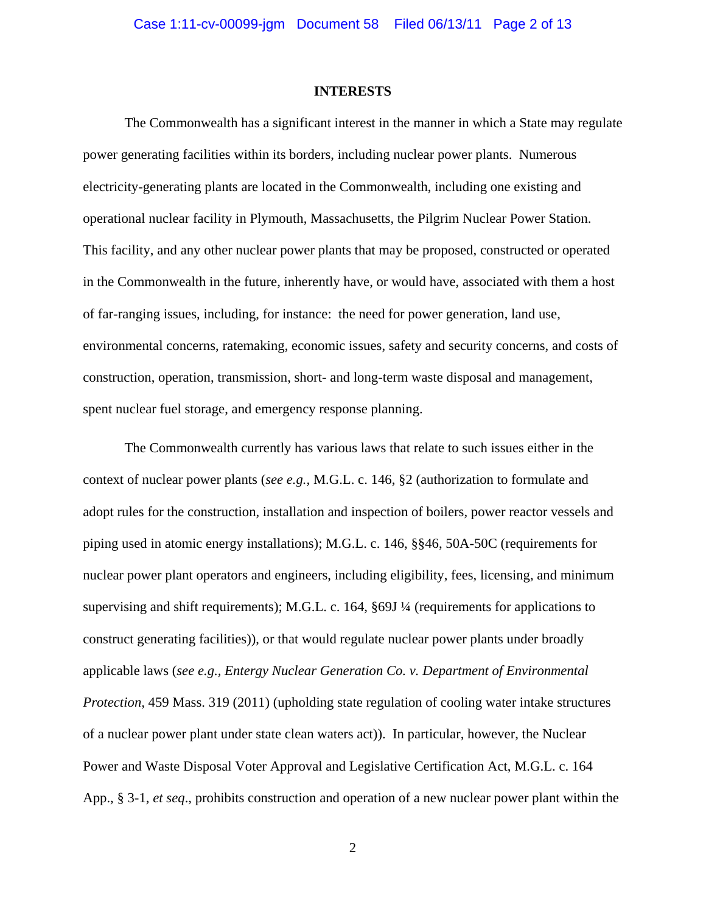#### **INTERESTS**

The Commonwealth has a significant interest in the manner in which a State may regulate power generating facilities within its borders, including nuclear power plants. Numerous electricity-generating plants are located in the Commonwealth, including one existing and operational nuclear facility in Plymouth, Massachusetts, the Pilgrim Nuclear Power Station. This facility, and any other nuclear power plants that may be proposed, constructed or operated in the Commonwealth in the future, inherently have, or would have, associated with them a host of far-ranging issues, including, for instance: the need for power generation, land use, environmental concerns, ratemaking, economic issues, safety and security concerns, and costs of construction, operation, transmission, short- and long-term waste disposal and management, spent nuclear fuel storage, and emergency response planning.

The Commonwealth currently has various laws that relate to such issues either in the context of nuclear power plants (*see e.g.,* M.G.L. c. 146, §2 (authorization to formulate and adopt rules for the construction, installation and inspection of boilers, power reactor vessels and piping used in atomic energy installations); M.G.L. c. 146, §§46, 50A-50C (requirements for nuclear power plant operators and engineers, including eligibility, fees, licensing, and minimum supervising and shift requirements); M.G.L. c. 164, §69J ¼ (requirements for applications to construct generating facilities)), or that would regulate nuclear power plants under broadly applicable laws (*see e.g., Entergy Nuclear Generation Co. v. Department of Environmental Protection,* 459 Mass. 319 (2011) (upholding state regulation of cooling water intake structures of a nuclear power plant under state clean waters act)). In particular, however, the Nuclear Power and Waste Disposal Voter Approval and Legislative Certification Act, M.G.L. c. 164 App., § 3-1, *et seq*., prohibits construction and operation of a new nuclear power plant within the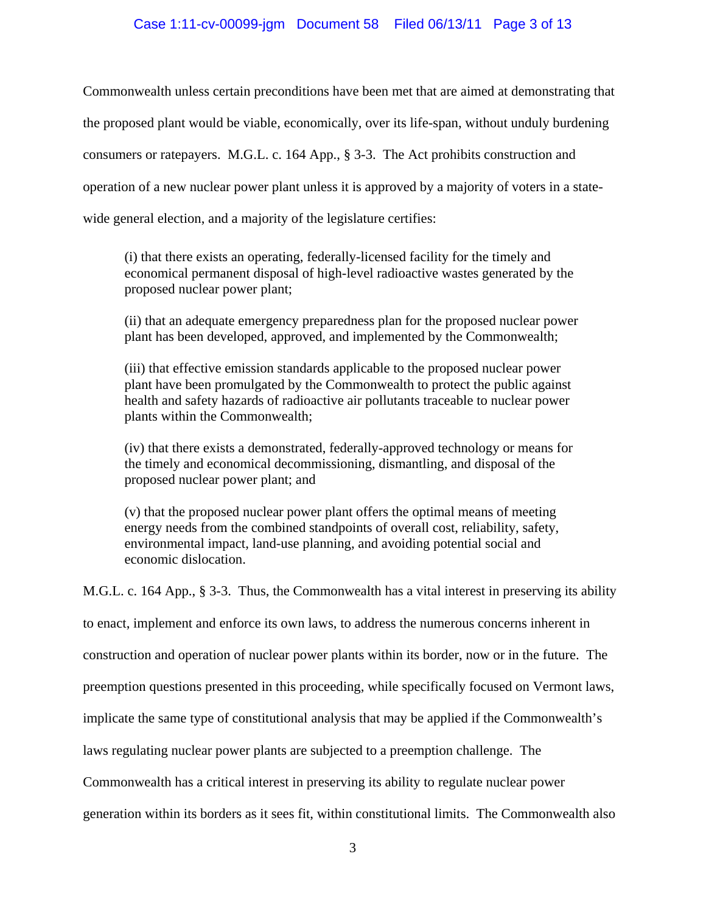# Case 1:11-cv-00099-jgm Document 58 Filed 06/13/11 Page 3 of 13

Commonwealth unless certain preconditions have been met that are aimed at demonstrating that the proposed plant would be viable, economically, over its life-span, without unduly burdening consumers or ratepayers. M.G.L. c. 164 App., § 3-3. The Act prohibits construction and operation of a new nuclear power plant unless it is approved by a majority of voters in a statewide general election, and a majority of the legislature certifies:

(i) that there exists an operating, federally-licensed facility for the timely and economical permanent disposal of high-level radioactive wastes generated by the proposed nuclear power plant;

(ii) that an adequate emergency preparedness plan for the proposed nuclear power plant has been developed, approved, and implemented by the Commonwealth;

(iii) that effective emission standards applicable to the proposed nuclear power plant have been promulgated by the Commonwealth to protect the public against health and safety hazards of radioactive air pollutants traceable to nuclear power plants within the Commonwealth;

(iv) that there exists a demonstrated, federally-approved technology or means for the timely and economical decommissioning, dismantling, and disposal of the proposed nuclear power plant; and

(v) that the proposed nuclear power plant offers the optimal means of meeting energy needs from the combined standpoints of overall cost, reliability, safety, environmental impact, land-use planning, and avoiding potential social and economic dislocation.

M.G.L. c. 164 App., § 3-3. Thus, the Commonwealth has a vital interest in preserving its ability

to enact, implement and enforce its own laws, to address the numerous concerns inherent in

construction and operation of nuclear power plants within its border, now or in the future. The

preemption questions presented in this proceeding, while specifically focused on Vermont laws,

implicate the same type of constitutional analysis that may be applied if the Commonwealth's

laws regulating nuclear power plants are subjected to a preemption challenge. The

Commonwealth has a critical interest in preserving its ability to regulate nuclear power

generation within its borders as it sees fit, within constitutional limits. The Commonwealth also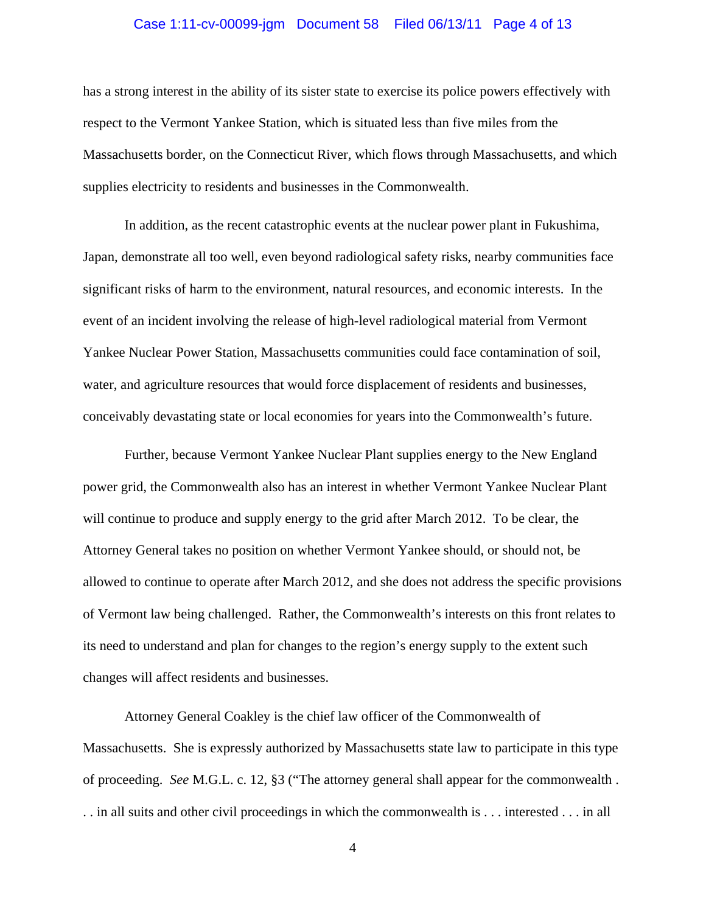#### Case 1:11-cv-00099-jgm Document 58 Filed 06/13/11 Page 4 of 13

has a strong interest in the ability of its sister state to exercise its police powers effectively with respect to the Vermont Yankee Station, which is situated less than five miles from the Massachusetts border, on the Connecticut River, which flows through Massachusetts, and which supplies electricity to residents and businesses in the Commonwealth.

 In addition, as the recent catastrophic events at the nuclear power plant in Fukushima, Japan, demonstrate all too well, even beyond radiological safety risks, nearby communities face significant risks of harm to the environment, natural resources, and economic interests. In the event of an incident involving the release of high-level radiological material from Vermont Yankee Nuclear Power Station, Massachusetts communities could face contamination of soil, water, and agriculture resources that would force displacement of residents and businesses, conceivably devastating state or local economies for years into the Commonwealth's future.

Further, because Vermont Yankee Nuclear Plant supplies energy to the New England power grid, the Commonwealth also has an interest in whether Vermont Yankee Nuclear Plant will continue to produce and supply energy to the grid after March 2012. To be clear, the Attorney General takes no position on whether Vermont Yankee should, or should not, be allowed to continue to operate after March 2012, and she does not address the specific provisions of Vermont law being challenged. Rather, the Commonwealth's interests on this front relates to its need to understand and plan for changes to the region's energy supply to the extent such changes will affect residents and businesses.

Attorney General Coakley is the chief law officer of the Commonwealth of Massachusetts. She is expressly authorized by Massachusetts state law to participate in this type of proceeding. *See* M.G.L. c. 12, §3 ("The attorney general shall appear for the commonwealth . . . in all suits and other civil proceedings in which the commonwealth is . . . interested . . . in all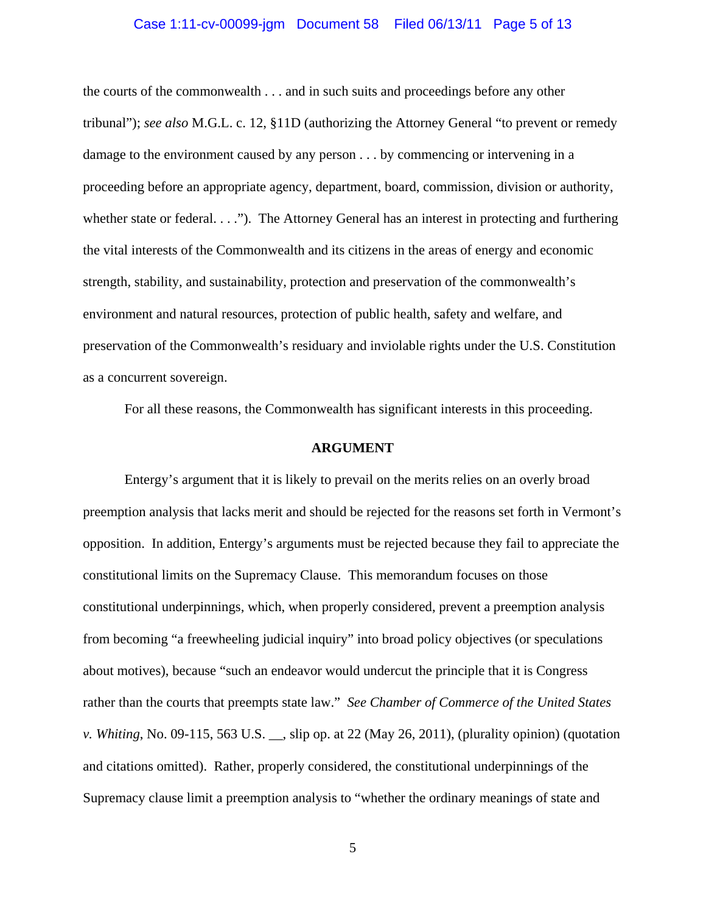#### Case 1:11-cv-00099-jgm Document 58 Filed 06/13/11 Page 5 of 13

the courts of the commonwealth . . . and in such suits and proceedings before any other tribunal"); *see also* M.G.L. c. 12, §11D (authorizing the Attorney General "to prevent or remedy damage to the environment caused by any person . . . by commencing or intervening in a proceeding before an appropriate agency, department, board, commission, division or authority, whether state or federal. . . ."). The Attorney General has an interest in protecting and furthering the vital interests of the Commonwealth and its citizens in the areas of energy and economic strength, stability, and sustainability, protection and preservation of the commonwealth's environment and natural resources, protection of public health, safety and welfare, and preservation of the Commonwealth's residuary and inviolable rights under the U.S. Constitution as a concurrent sovereign.

For all these reasons, the Commonwealth has significant interests in this proceeding.

#### **ARGUMENT**

Entergy's argument that it is likely to prevail on the merits relies on an overly broad preemption analysis that lacks merit and should be rejected for the reasons set forth in Vermont's opposition. In addition, Entergy's arguments must be rejected because they fail to appreciate the constitutional limits on the Supremacy Clause. This memorandum focuses on those constitutional underpinnings, which, when properly considered, prevent a preemption analysis from becoming "a freewheeling judicial inquiry" into broad policy objectives (or speculations about motives), because "such an endeavor would undercut the principle that it is Congress rather than the courts that preempts state law." *See Chamber of Commerce of the United States v. Whiting*, No. 09-115, 563 U.S. \_\_, slip op. at 22 (May 26, 2011), (plurality opinion) (quotation and citations omitted). Rather, properly considered, the constitutional underpinnings of the Supremacy clause limit a preemption analysis to "whether the ordinary meanings of state and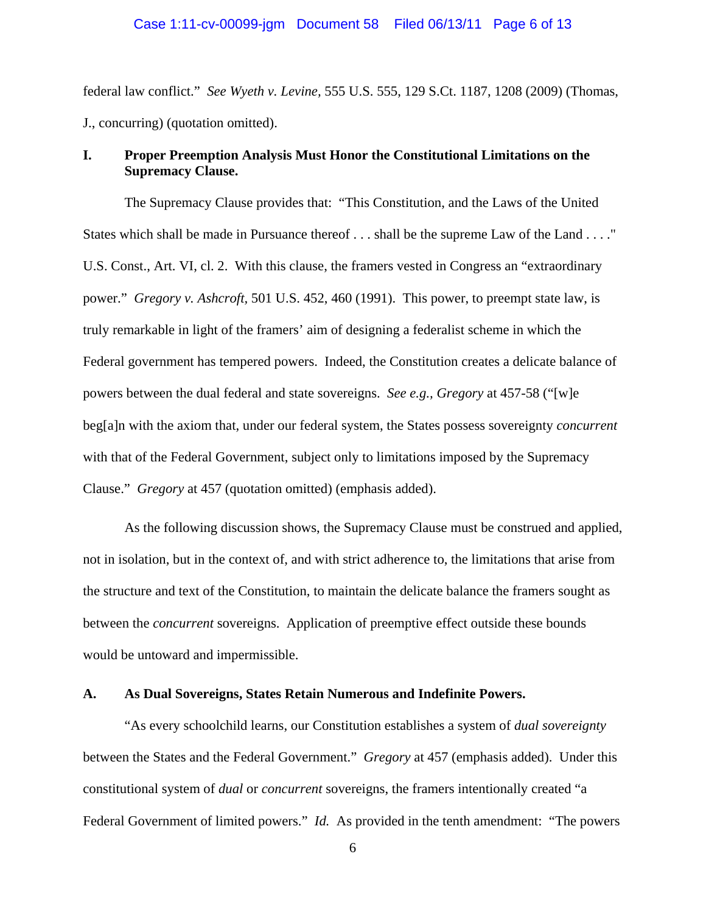federal law conflict." *See Wyeth v. Levine,* 555 U.S. 555, 129 S.Ct. 1187, 1208 (2009) (Thomas, J., concurring) (quotation omitted).

# **I. Proper Preemption Analysis Must Honor the Constitutional Limitations on the Supremacy Clause.**

The Supremacy Clause provides that: "This Constitution, and the Laws of the United States which shall be made in Pursuance thereof . . . shall be the supreme Law of the Land . . . ." U.S. Const., Art. VI, cl. 2. With this clause, the framers vested in Congress an "extraordinary power." *Gregory v. Ashcroft,* 501 U.S. 452, 460 (1991). This power, to preempt state law, is truly remarkable in light of the framers' aim of designing a federalist scheme in which the Federal government has tempered powers. Indeed, the Constitution creates a delicate balance of powers between the dual federal and state sovereigns. *See e.g., Gregory* at 457-58 ("[w]e beg[a]n with the axiom that, under our federal system, the States possess sovereignty *concurrent* with that of the Federal Government, subject only to limitations imposed by the Supremacy Clause." *Gregory* at 457 (quotation omitted) (emphasis added).

As the following discussion shows, the Supremacy Clause must be construed and applied, not in isolation, but in the context of, and with strict adherence to, the limitations that arise from the structure and text of the Constitution, to maintain the delicate balance the framers sought as between the *concurrent* sovereigns. Application of preemptive effect outside these bounds would be untoward and impermissible.

### **A. As Dual Sovereigns, States Retain Numerous and Indefinite Powers.**

"As every schoolchild learns, our Constitution establishes a system of *dual sovereignty* between the States and the Federal Government." *Gregory* at 457 (emphasis added). Under this constitutional system of *dual* or *concurrent* sovereigns, the framers intentionally created "a Federal Government of limited powers." *Id.* As provided in the tenth amendment: "The powers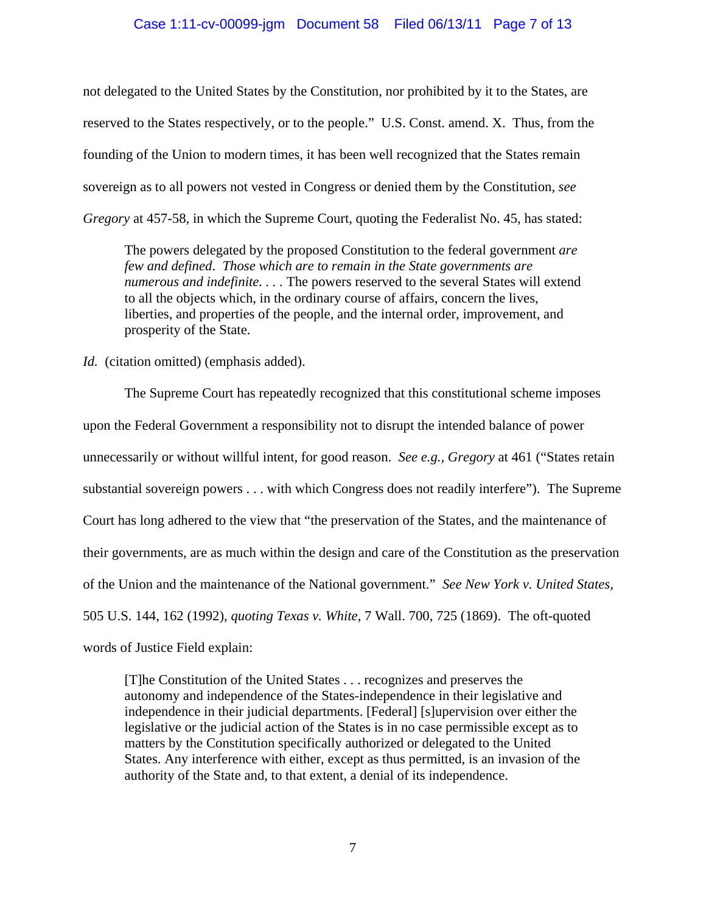# Case 1:11-cv-00099-jgm Document 58 Filed 06/13/11 Page 7 of 13

not delegated to the United States by the Constitution, nor prohibited by it to the States, are reserved to the States respectively, or to the people." U.S. Const. amend. X. Thus, from the founding of the Union to modern times, it has been well recognized that the States remain sovereign as to all powers not vested in Congress or denied them by the Constitution, *see Gregory* at 457-58, in which the Supreme Court, quoting the Federalist No. 45, has stated:

The powers delegated by the proposed Constitution to the federal government *are few and defined*. *Those which are to remain in the State governments are numerous and indefinite....* The powers reserved to the several States will extend to all the objects which, in the ordinary course of affairs, concern the lives, liberties, and properties of the people, and the internal order, improvement, and prosperity of the State.

*Id.* (citation omitted) (emphasis added).

The Supreme Court has repeatedly recognized that this constitutional scheme imposes upon the Federal Government a responsibility not to disrupt the intended balance of power unnecessarily or without willful intent, for good reason. *See e.g., Gregory* at 461 ("States retain substantial sovereign powers . . . with which Congress does not readily interfere"). The Supreme Court has long adhered to the view that "the preservation of the States, and the maintenance of their governments, are as much within the design and care of the Constitution as the preservation of the Union and the maintenance of the National government." *See New York v. United States,*  505 U.S. 144, 162 (1992), *quoting Texas v. White*, 7 Wall. 700, 725 (1869). The oft-quoted words of Justice Field explain:

[T]he Constitution of the United States . . . recognizes and preserves the autonomy and independence of the States-independence in their legislative and independence in their judicial departments. [Federal] [s]upervision over either the legislative or the judicial action of the States is in no case permissible except as to matters by the Constitution specifically authorized or delegated to the United States. Any interference with either, except as thus permitted, is an invasion of the authority of the State and, to that extent, a denial of its independence.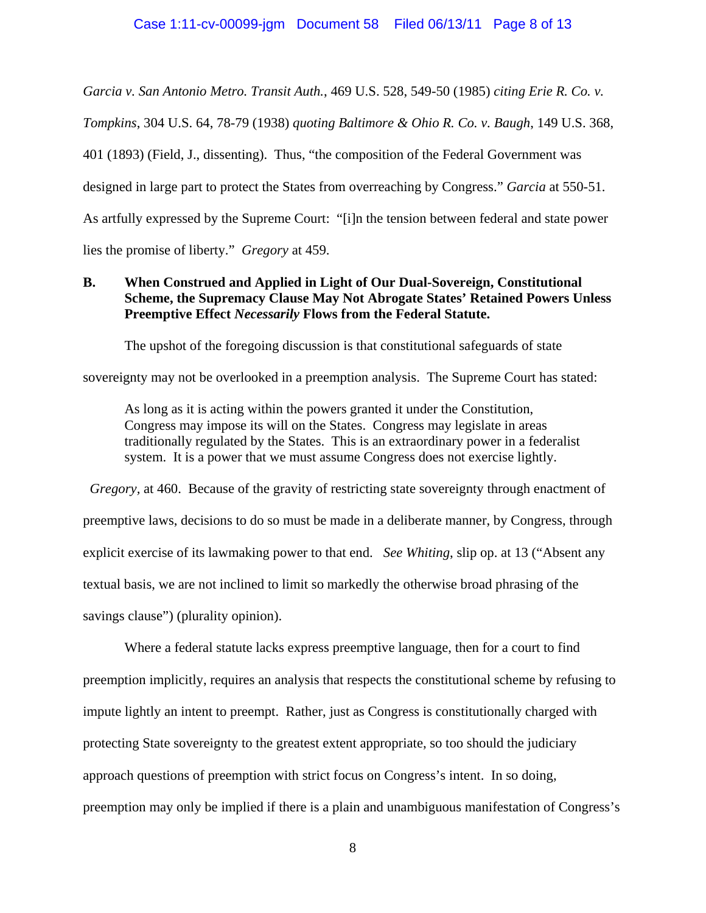*Garcia v. San Antonio Metro. Transit Auth.*, 469 U.S. 528, 549-50 (1985) *citing Erie R. Co. v. Tompkins*, 304 U.S. 64, 78-79 (1938) *quoting Baltimore & Ohio R. Co. v. Baugh*, 149 U.S. 368, 401 (1893) (Field, J., dissenting). Thus, "the composition of the Federal Government was designed in large part to protect the States from overreaching by Congress." *Garcia* at 550-51. As artfully expressed by the Supreme Court: "[i]n the tension between federal and state power

lies the promise of liberty." *Gregory* at 459.

# **B. When Construed and Applied in Light of Our Dual-Sovereign, Constitutional Scheme, the Supremacy Clause May Not Abrogate States' Retained Powers Unless Preemptive Effect** *Necessarily* **Flows from the Federal Statute.**

The upshot of the foregoing discussion is that constitutional safeguards of state

sovereignty may not be overlooked in a preemption analysis. The Supreme Court has stated:

As long as it is acting within the powers granted it under the Constitution, Congress may impose its will on the States. Congress may legislate in areas traditionally regulated by the States. This is an extraordinary power in a federalist system. It is a power that we must assume Congress does not exercise lightly.

 *Gregory,* at 460. Because of the gravity of restricting state sovereignty through enactment of preemptive laws, decisions to do so must be made in a deliberate manner, by Congress, through explicit exercise of its lawmaking power to that end. *See Whiting*, slip op. at 13 ("Absent any textual basis, we are not inclined to limit so markedly the otherwise broad phrasing of the savings clause") (plurality opinion).

 Where a federal statute lacks express preemptive language, then for a court to find preemption implicitly, requires an analysis that respects the constitutional scheme by refusing to impute lightly an intent to preempt. Rather, just as Congress is constitutionally charged with protecting State sovereignty to the greatest extent appropriate, so too should the judiciary approach questions of preemption with strict focus on Congress's intent. In so doing, preemption may only be implied if there is a plain and unambiguous manifestation of Congress's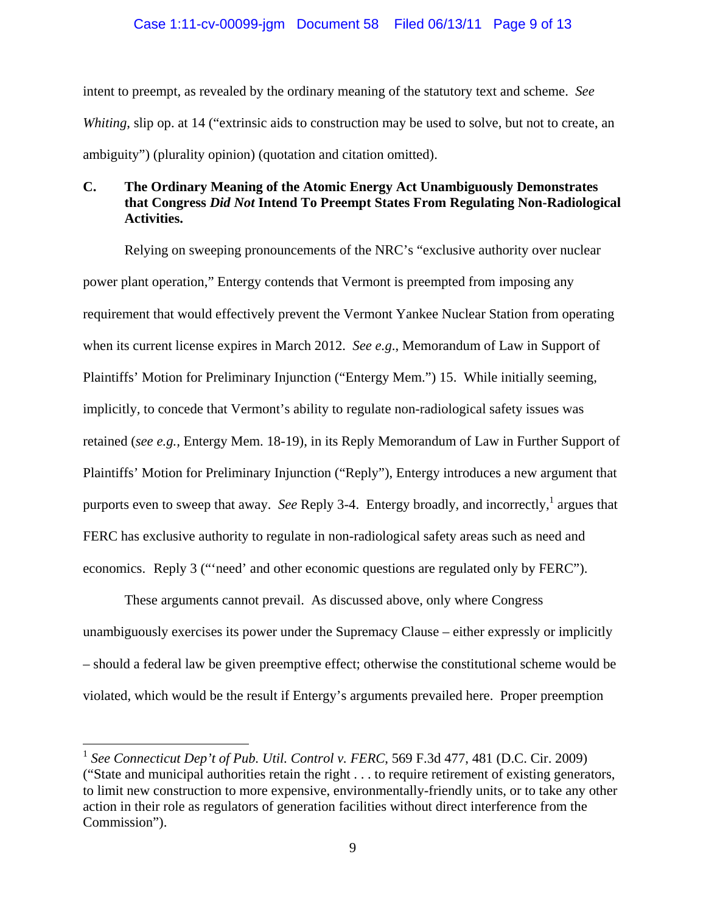intent to preempt, as revealed by the ordinary meaning of the statutory text and scheme. *See Whiting*, slip op. at 14 ("extrinsic aids to construction may be used to solve, but not to create, an ambiguity") (plurality opinion) (quotation and citation omitted).

# **C. The Ordinary Meaning of the Atomic Energy Act Unambiguously Demonstrates that Congress** *Did Not* **Intend To Preempt States From Regulating Non-Radiological Activities.**

Relying on sweeping pronouncements of the NRC's "exclusive authority over nuclear power plant operation," Entergy contends that Vermont is preempted from imposing any requirement that would effectively prevent the Vermont Yankee Nuclear Station from operating when its current license expires in March 2012. *See e.g*., Memorandum of Law in Support of Plaintiffs' Motion for Preliminary Injunction ("Entergy Mem.") 15. While initially seeming, implicitly*,* to concede that Vermont's ability to regulate non-radiological safety issues was retained (*see e.g.,* Entergy Mem. 18-19), in its Reply Memorandum of Law in Further Support of Plaintiffs' Motion for Preliminary Injunction ("Reply"), Entergy introduces a new argument that purports even to sweep that away. *See* Reply 3-4. Entergy broadly, and incorrectly,<sup>1</sup> argues that FERC has exclusive authority to regulate in non-radiological safety areas such as need and economics. Reply 3 ("'need' and other economic questions are regulated only by FERC").

These arguments cannot prevail. As discussed above, only where Congress unambiguously exercises its power under the Supremacy Clause – either expressly or implicitly – should a federal law be given preemptive effect; otherwise the constitutional scheme would be violated, which would be the result if Entergy's arguments prevailed here. Proper preemption

1

<sup>1</sup> *See Connecticut Dep't of Pub. Util. Control v. FERC*, 569 F.3d 477, 481 (D.C. Cir. 2009) ("State and municipal authorities retain the right . . . to require retirement of existing generators, to limit new construction to more expensive, environmentally-friendly units, or to take any other action in their role as regulators of generation facilities without direct interference from the Commission").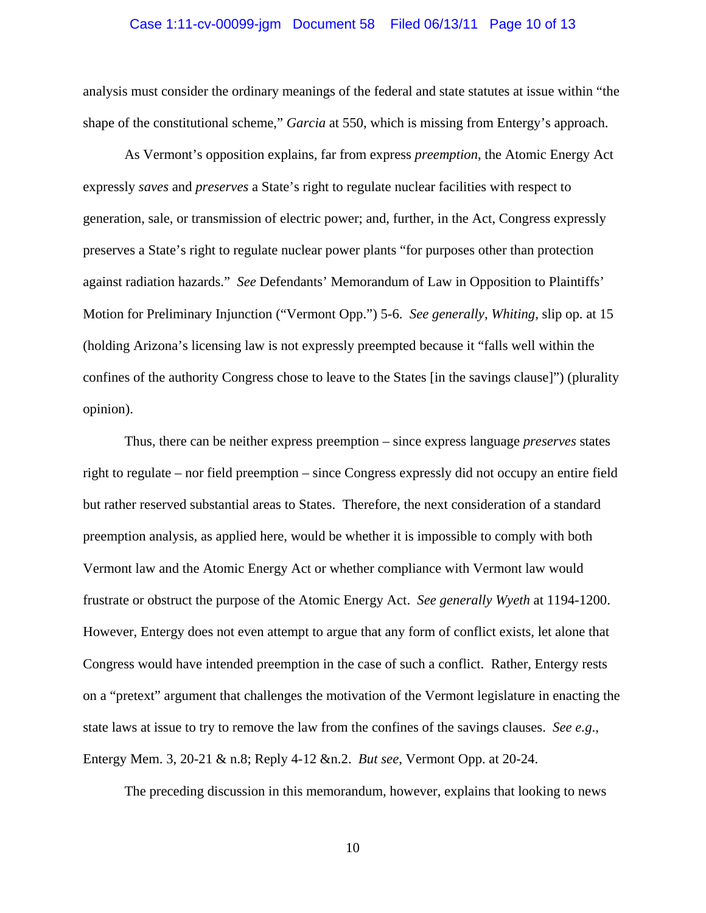# Case 1:11-cv-00099-jgm Document 58 Filed 06/13/11 Page 10 of 13

analysis must consider the ordinary meanings of the federal and state statutes at issue within "the shape of the constitutional scheme," *Garcia* at 550, which is missing from Entergy's approach.

 As Vermont's opposition explains, far from express *preemption*, the Atomic Energy Act expressly *saves* and *preserves* a State's right to regulate nuclear facilities with respect to generation, sale, or transmission of electric power; and, further, in the Act, Congress expressly preserves a State's right to regulate nuclear power plants "for purposes other than protection against radiation hazards." *See* Defendants' Memorandum of Law in Opposition to Plaintiffs' Motion for Preliminary Injunction ("Vermont Opp.") 5-6. *See generally, Whiting,* slip op. at 15 (holding Arizona's licensing law is not expressly preempted because it "falls well within the confines of the authority Congress chose to leave to the States [in the savings clause]") (plurality opinion).

 Thus, there can be neither express preemption – since express language *preserves* states right to regulate – nor field preemption – since Congress expressly did not occupy an entire field but rather reserved substantial areas to States. Therefore, the next consideration of a standard preemption analysis, as applied here, would be whether it is impossible to comply with both Vermont law and the Atomic Energy Act or whether compliance with Vermont law would frustrate or obstruct the purpose of the Atomic Energy Act. *See generally Wyeth* at 1194-1200. However, Entergy does not even attempt to argue that any form of conflict exists, let alone that Congress would have intended preemption in the case of such a conflict. Rather, Entergy rests on a "pretext" argument that challenges the motivation of the Vermont legislature in enacting the state laws at issue to try to remove the law from the confines of the savings clauses. *See e.g*., Entergy Mem. 3, 20-21 & n.8; Reply 4-12 &n.2. *But see*, Vermont Opp. at 20-24.

The preceding discussion in this memorandum, however, explains that looking to news

10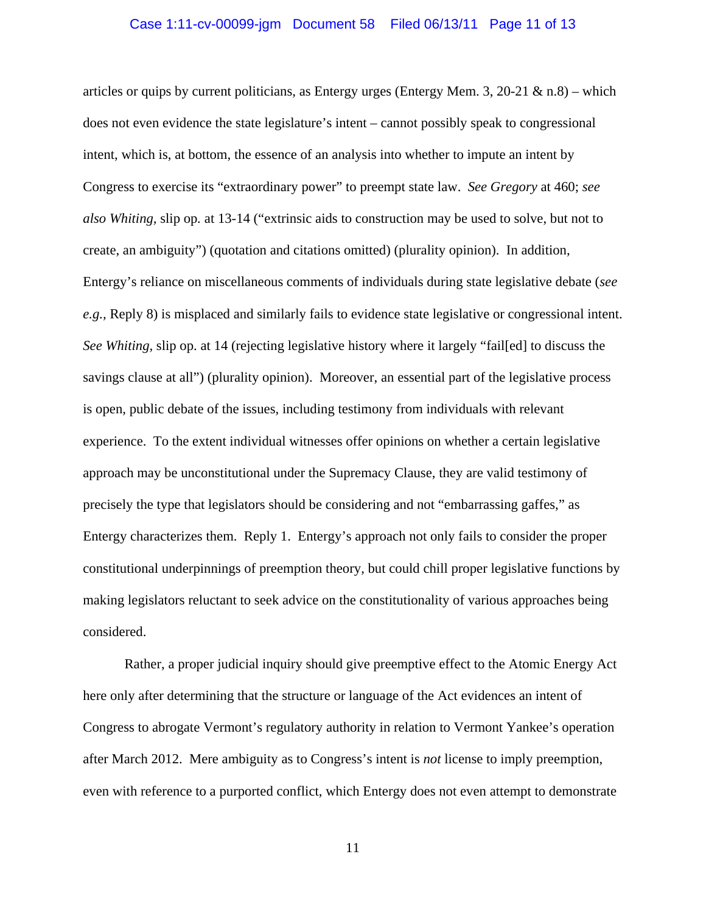# Case 1:11-cv-00099-jgm Document 58 Filed 06/13/11 Page 11 of 13

articles or quips by current politicians, as Entergy urges (Entergy Mem. 3, 20-21  $\&$  n.8) – which does not even evidence the state legislature's intent – cannot possibly speak to congressional intent, which is, at bottom, the essence of an analysis into whether to impute an intent by Congress to exercise its "extraordinary power" to preempt state law. *See Gregory* at 460; *see also Whiting,* slip op*.* at 13-14 ("extrinsic aids to construction may be used to solve, but not to create, an ambiguity") (quotation and citations omitted) (plurality opinion). In addition, Entergy's reliance on miscellaneous comments of individuals during state legislative debate (*see e.g.,* Reply 8) is misplaced and similarly fails to evidence state legislative or congressional intent. *See Whiting,* slip op. at 14 (rejecting legislative history where it largely "fail[ed] to discuss the savings clause at all") (plurality opinion). Moreover, an essential part of the legislative process is open, public debate of the issues, including testimony from individuals with relevant experience. To the extent individual witnesses offer opinions on whether a certain legislative approach may be unconstitutional under the Supremacy Clause, they are valid testimony of precisely the type that legislators should be considering and not "embarrassing gaffes," as Entergy characterizes them. Reply 1. Entergy's approach not only fails to consider the proper constitutional underpinnings of preemption theory, but could chill proper legislative functions by making legislators reluctant to seek advice on the constitutionality of various approaches being considered.

Rather, a proper judicial inquiry should give preemptive effect to the Atomic Energy Act here only after determining that the structure or language of the Act evidences an intent of Congress to abrogate Vermont's regulatory authority in relation to Vermont Yankee's operation after March 2012. Mere ambiguity as to Congress's intent is *not* license to imply preemption, even with reference to a purported conflict, which Entergy does not even attempt to demonstrate

11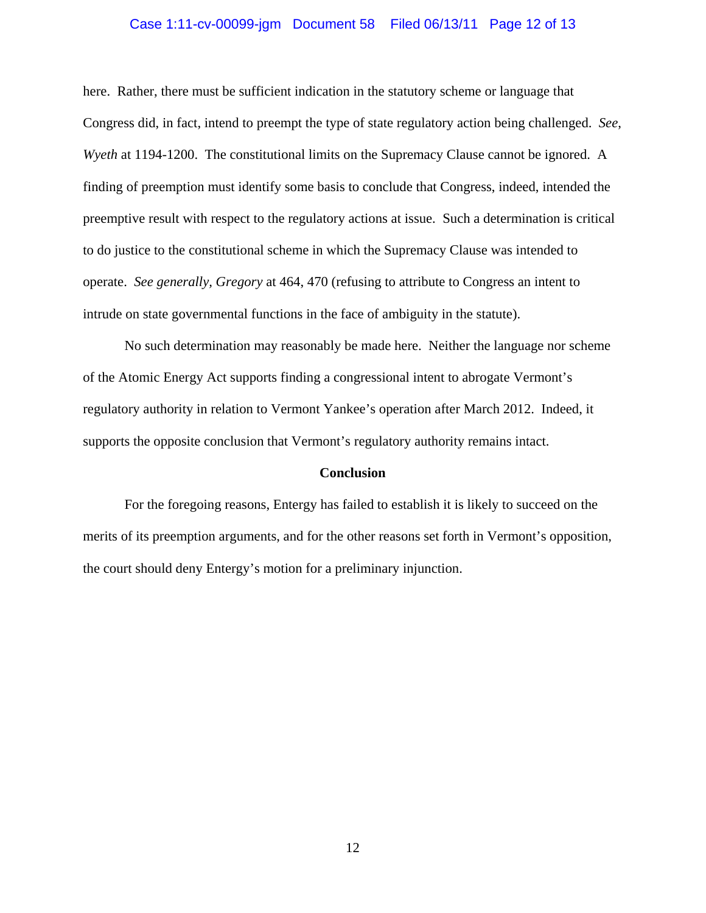# Case 1:11-cv-00099-jgm Document 58 Filed 06/13/11 Page 12 of 13

here. Rather, there must be sufficient indication in the statutory scheme or language that Congress did, in fact, intend to preempt the type of state regulatory action being challenged. *See*, *Wyeth* at 1194-1200. The constitutional limits on the Supremacy Clause cannot be ignored. A finding of preemption must identify some basis to conclude that Congress, indeed, intended the preemptive result with respect to the regulatory actions at issue. Such a determination is critical to do justice to the constitutional scheme in which the Supremacy Clause was intended to operate. *See generally, Gregory* at 464, 470 (refusing to attribute to Congress an intent to intrude on state governmental functions in the face of ambiguity in the statute).

No such determination may reasonably be made here. Neither the language nor scheme of the Atomic Energy Act supports finding a congressional intent to abrogate Vermont's regulatory authority in relation to Vermont Yankee's operation after March 2012. Indeed, it supports the opposite conclusion that Vermont's regulatory authority remains intact.

#### **Conclusion**

For the foregoing reasons, Entergy has failed to establish it is likely to succeed on the merits of its preemption arguments, and for the other reasons set forth in Vermont's opposition, the court should deny Entergy's motion for a preliminary injunction.